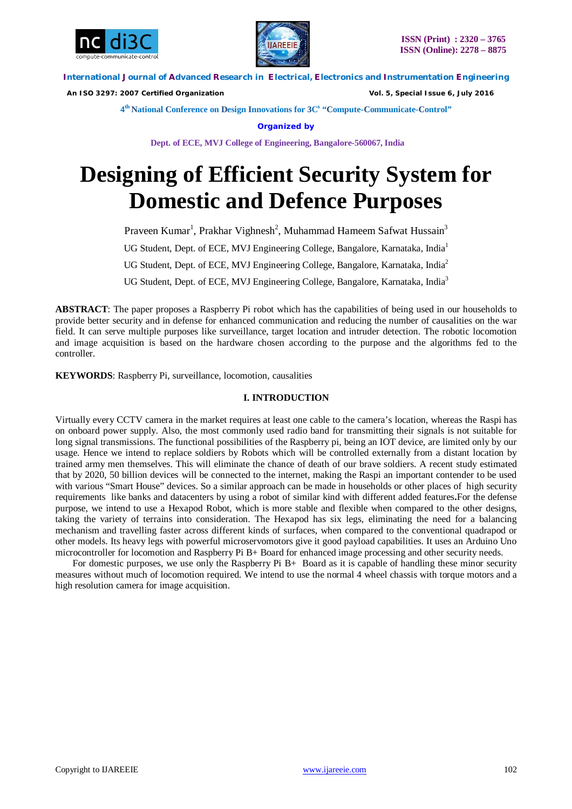



 *An ISO 3297: 2007 Certified Organization Vol. 5, Special Issue 6, July 2016*

**4 th National Conference on Design Innovations for 3C s "Compute-Communicate-Control"** 

**Organized by**

**Dept. of ECE, MVJ College of Engineering, Bangalore-560067, India**

# **Designing of Efficient Security System for Domestic and Defence Purposes**

Praveen Kumar<sup>1</sup>, Prakhar Vighnesh<sup>2</sup>, Muhammad Hameem Safwat Hussain<sup>3</sup> UG Student, Dept. of ECE, MVJ Engineering College, Bangalore, Karnataka, India<sup>1</sup> UG Student, Dept. of ECE, MVJ Engineering College, Bangalore, Karnataka, India<sup>2</sup> UG Student, Dept. of ECE, MVJ Engineering College, Bangalore, Karnataka, India<sup>3</sup>

**ABSTRACT**: The paper proposes a Raspberry Pi robot which has the capabilities of being used in our households to provide better security and in defense for enhanced communication and reducing the number of causalities on the war field. It can serve multiple purposes like surveillance, target location and intruder detection. The robotic locomotion and image acquisition is based on the hardware chosen according to the purpose and the algorithms fed to the controller.

**KEYWORDS**: Raspberry Pi, surveillance, locomotion, causalities

#### **I. INTRODUCTION**

Virtually every CCTV camera in the market requires at least one cable to the camera's location, whereas the Raspi has on onboard power supply. Also, the most commonly used radio band for transmitting their signals is not suitable for long signal transmissions. The functional possibilities of the Raspberry pi, being an IOT device, are limited only by our usage. Hence we intend to replace soldiers by Robots which will be controlled externally from a distant location by trained army men themselves. This will eliminate the chance of death of our brave soldiers. A recent study estimated that by 2020, 50 billion devices will be connected to the internet, making the Raspi an important contender to be used with various "Smart House" devices. So a similar approach can be made in households or other places of high security requirements like banks and datacenters by using a robot of similar kind with different added features**.**For the defense purpose, we intend to use a Hexapod Robot, which is more stable and flexible when compared to the other designs, taking the variety of terrains into consideration. The Hexapod has six legs, eliminating the need for a balancing mechanism and travelling faster across different kinds of surfaces, when compared to the conventional quadrapod or other models. Its heavy legs with powerful microservomotors give it good payload capabilities. It uses an Arduino Uno microcontroller for locomotion and Raspberry Pi B+ Board for enhanced image processing and other security needs.

For domestic purposes, we use only the Raspberry Pi B+ Board as it is capable of handling these minor security measures without much of locomotion required. We intend to use the normal 4 wheel chassis with torque motors and a high resolution camera for image acquisition.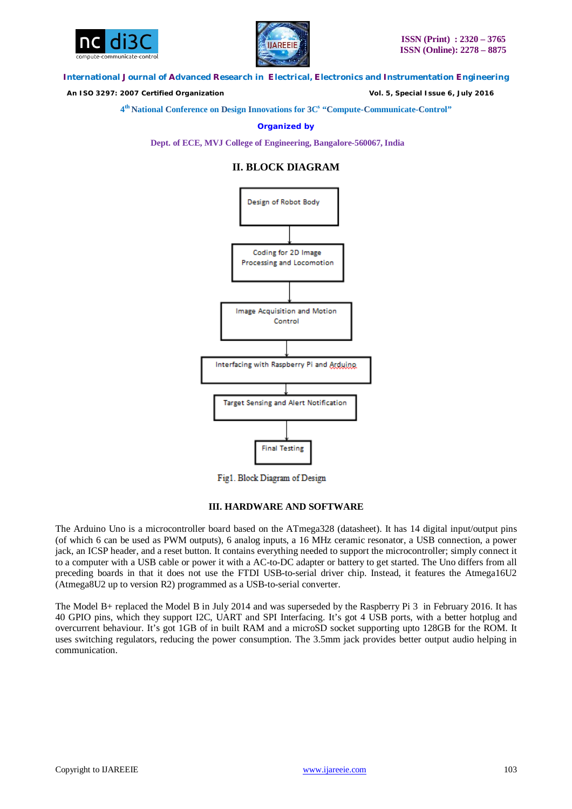



 *An ISO 3297: 2007 Certified Organization Vol. 5, Special Issue 6, July 2016*

**4 th National Conference on Design Innovations for 3C s "Compute-Communicate-Control"** 

**Organized by**

**Dept. of ECE, MVJ College of Engineering, Bangalore-560067, India**

## **II. BLOCK DIAGRAM**



Fig1. Block Diagram of Design

#### **III. HARDWARE AND SOFTWARE**

The Arduino Uno is a microcontroller board based on the ATmega328 (datasheet). It has 14 digital input/output pins (of which 6 can be used as PWM outputs), 6 analog inputs, a 16 MHz ceramic resonator, a USB connection, a power jack, an ICSP header, and a reset button. It contains everything needed to support the microcontroller; simply connect it to a computer with a USB cable or power it with a AC-to-DC adapter or battery to get started. The Uno differs from all preceding boards in that it does not use the FTDI USB-to-serial driver chip. Instead, it features the Atmega16U2 (Atmega8U2 up to version R2) programmed as a USB-to-serial converter.

The Model B+ replaced the Model B in July 2014 and was superseded by the Raspberry Pi 3 in February 2016. It has 40 GPIO pins, which they support I2C, UART and SPI Interfacing. It's got 4 USB ports, with a better hotplug and overcurrent behaviour. It's got 1GB of in built RAM and a microSD socket supporting upto 128GB for the ROM. It uses switching regulators, reducing the power consumption. The 3.5mm jack provides better output audio helping in communication.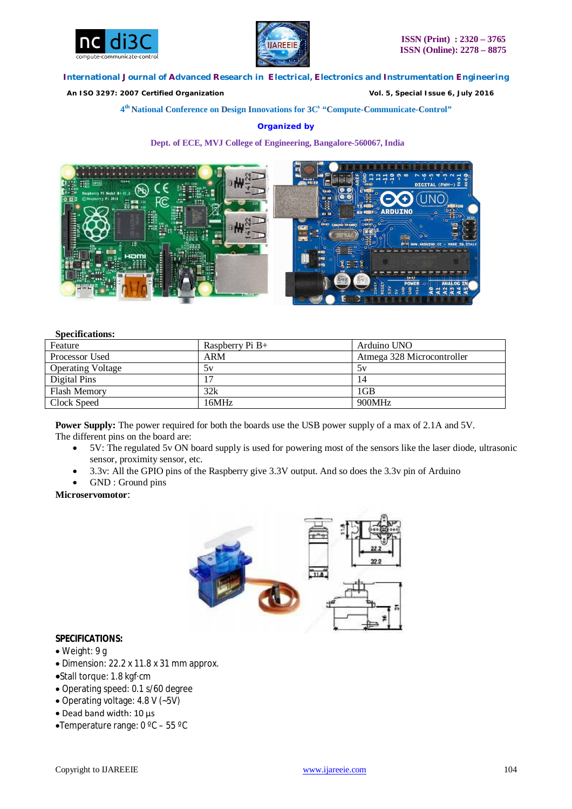



 *An ISO 3297: 2007 Certified Organization Vol. 5, Special Issue 6, July 2016*

**4 th National Conference on Design Innovations for 3C s "Compute-Communicate-Control"** 

## **Organized by**

**Dept. of ECE, MVJ College of Engineering, Bangalore-560067, India**



#### **Specifications:**

| Feature                  | Raspberry Pi $B+$ | Arduino UNO                |
|--------------------------|-------------------|----------------------------|
| Processor Used           | ARM               | Atmega 328 Microcontroller |
| <b>Operating Voltage</b> | 5v                | 5v                         |
| Digital Pins             |                   | 14                         |
| <b>Flash Memory</b>      | 32k               | 1 <sub>GB</sub>            |
| Clock Speed              | 16MHz             | 900MHz                     |

**Power Supply:** The power required for both the boards use the USB power supply of a max of 2.1A and 5V. The different pins on the board are:

- 5V: The regulated 5v ON board supply is used for powering most of the sensors like the laser diode, ultrasonic sensor, proximity sensor, etc.
- 3.3v: All the GPIO pins of the Raspberry give 3.3V output. And so does the 3.3v pin of Arduino
- GND : Ground pins

## **Microservomotor**:



## **SPECIFICATIONS:**

- Weight: 9 g
- Dimension: 22.2 x 11.8 x 31 mm approx.
- Stall torque: 1.8 kgf·cm
- Operating speed: 0.1 s/60 degree
- Operating voltage:  $4.8 \text{ V}$  (~5V)
- Dead band width: 10 μs
- •Temperature range:  $0^{\circ}$ C 55 °C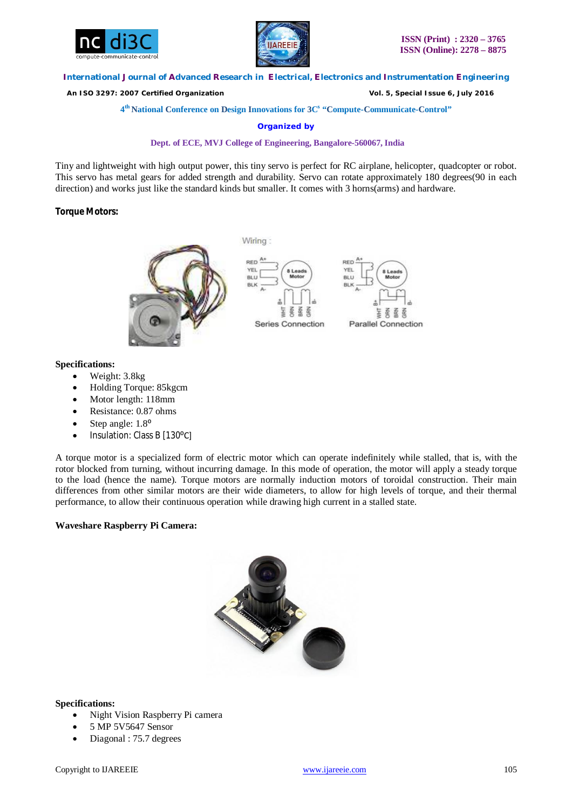



 *An ISO 3297: 2007 Certified Organization Vol. 5, Special Issue 6, July 2016*

**4 th National Conference on Design Innovations for 3C s "Compute-Communicate-Control"** 

**Organized by**

#### **Dept. of ECE, MVJ College of Engineering, Bangalore-560067, India**

Tiny and lightweight with high output power, this tiny servo is perfect for RC airplane, helicopter, quadcopter or robot. This servo has metal gears for added strength and durability. Servo can rotate approximately 180 degrees(90 in each direction) and works just like the standard kinds but smaller. It comes with 3 horns(arms) and hardware.

## **Torque Motors:**



Wiring:





## **Specifications:**

- Weight: 3.8kg
- Holding Torque: 85kgcm
- Motor length: 118mm
- Resistance: 0.87 ohms
- Step angle:  $1.8^{\circ}$
- Insulation: Class B [130°C]

A torque motor is a specialized form of electric motor which can operate indefinitely while stalled, that is, with the rotor blocked from turning, without incurring damage. In this mode of operation, the motor will apply a steady torque to the load (hence the name). Torque motors are normally induction motors of toroidal construction. Their main differences from other similar motors are their wide diameters, to allow for high levels of torque, and their thermal performance, to allow their continuous operation while drawing high current in a stalled state.

## **Waveshare Raspberry Pi Camera:**



#### **Specifications:**

- Night Vision Raspberry Pi camera
- 5 MP 5V5647 Sensor
- Diagonal : 75.7 degrees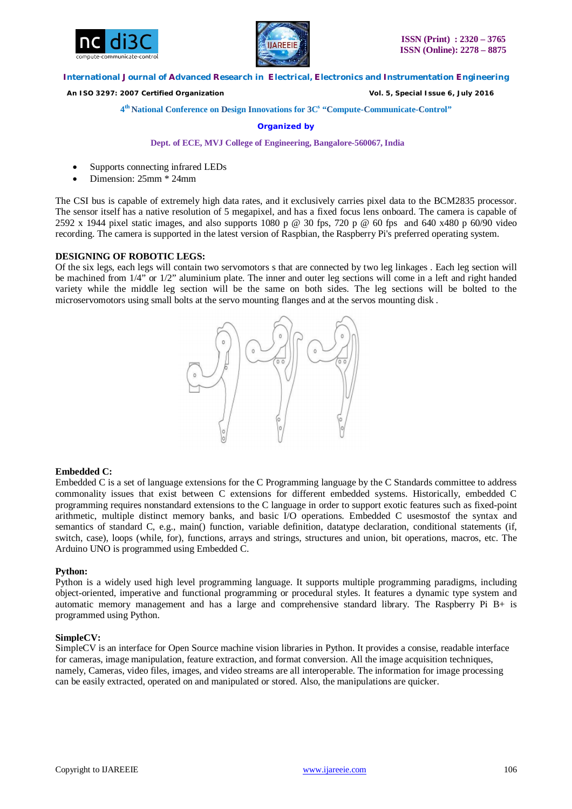



 *An ISO 3297: 2007 Certified Organization Vol. 5, Special Issue 6, July 2016*

#### **4 th National Conference on Design Innovations for 3C s "Compute-Communicate-Control"**

#### **Organized by**

#### **Dept. of ECE, MVJ College of Engineering, Bangalore-560067, India**

- Supports connecting infrared LEDs
- Dimension: 25mm \* 24mm

The CSI bus is capable of extremely high data rates, and it exclusively carries pixel data to the BCM2835 processor. The sensor itself has a native resolution of 5 megapixel, and has a fixed focus lens onboard. The camera is capable of 2592 x 1944 pixel static images, and also supports 1080 p  $\omega$  30 fps, 720 p  $\omega$  60 fps and 640 x480 p 60/90 video recording. The camera is supported in the latest version of Raspbian, the Raspberry Pi's preferred operating system.

#### **DESIGNING OF ROBOTIC LEGS:**

Of the six legs, each legs will contain two servomotors s that are connected by two leg linkages . Each leg section will be machined from 1/4" or 1/2" aluminium plate. The inner and outer leg sections will come in a left and right handed variety while the middle leg section will be the same on both sides. The leg sections will be bolted to the microservomotors using small bolts at the servo mounting flanges and at the servos mounting disk .



#### **Embedded C:**

Embedded C is a set of language extensions for the C Programming language by the C Standards committee to address commonality issues that exist between C extensions for different embedded systems. Historically, embedded C programming requires nonstandard extensions to the C language in order to support exotic features such as fixed-point arithmetic, multiple distinct memory banks, and basic I/O operations. Embedded C usesmostof the syntax and semantics of standard C, e.g., main() function, variable definition, datatype declaration, conditional statements (if, switch, case), loops (while, for), functions, arrays and strings, structures and union, bit operations, macros, etc. The Arduino UNO is programmed using Embedded C.

#### **Python:**

Python is a widely used high level programming language. It supports multiple programming paradigms, including object-oriented, imperative and functional programming or procedural styles. It features a dynamic type system and automatic memory management and has a large and comprehensive standard library. The Raspberry Pi B+ is programmed using Python.

#### **SimpleCV:**

SimpleCV is an interface for Open Source machine vision libraries in Python. It provides a consise, readable interface for cameras, image manipulation, feature extraction, and format conversion. All the image acquisition techniques, namely, Cameras, video files, images, and video streams are all interoperable. The information for image processing can be easily extracted, operated on and manipulated or stored. Also, the manipulations are quicker.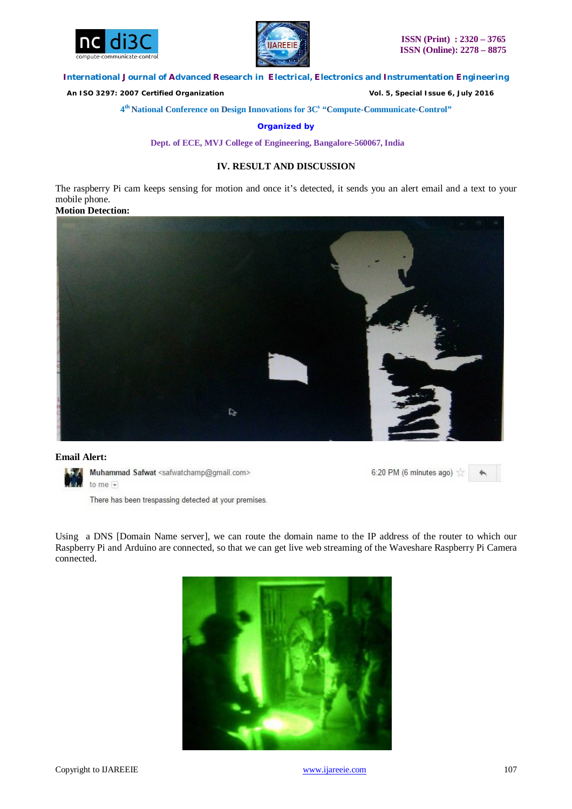



 *An ISO 3297: 2007 Certified Organization Vol. 5, Special Issue 6, July 2016*

**4 th National Conference on Design Innovations for 3C s "Compute-Communicate-Control"** 

**Organized by**

**Dept. of ECE, MVJ College of Engineering, Bangalore-560067, India**

# **IV. RESULT AND DISCUSSION**

The raspberry Pi cam keeps sensing for motion and once it's detected, it sends you an alert email and a text to your mobile phone.

**Motion Detection:** 



#### **Email Alert:**



Muhammad Safwat <safwatchamp@gmail.com> to me  $\overline{\bullet}$ 

There has been trespassing detected at your premises.

6:20 PM (6 minutes ago)  $\frac{1}{2}$  $\blacklozenge$ 

Using a DNS [Domain Name server], we can route the domain name to the IP address of the router to which our Raspberry Pi and Arduino are connected, so that we can get live web streaming of the Waveshare Raspberry Pi Camera connected.